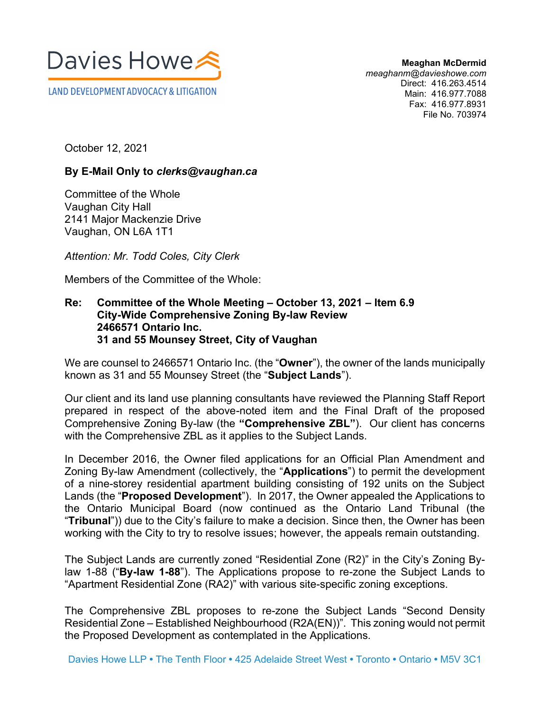

**Meaghan McDermid** *meaghanm@davieshowe.com* Direct: 416.263.4514 Main: 416.977.7088 Fax: 416.977.8931 File No. 703974

October 12, 2021

## **By E-Mail Only to** *clerks@vaughan.ca*

Committee of the Whole Vaughan City Hall 2141 Major Mackenzie Drive Vaughan, ON L6A 1T1

*Attention: Mr. Todd Coles, City Clerk* 

Members of the Committee of the Whole:

**COMMUNICATION C38 ITEM NO. 9 COMMITTEE OF THE WHOLE (2) October 13, 2021**

## **Re: Committee of the Whole Meeting – October 13, 2021 – Item 6.9 City-Wide Comprehensive Zoning By-law Review 2466571 Ontario Inc. 31 and 55 Mounsey Street, City of Vaughan**

We are counsel to 2466571 Ontario Inc. (the "**Owner**"), the owner of the lands municipally known as 31 and 55 Mounsey Street (the "**Subject Lands**").

Our client and its land use planning consultants have reviewed the Planning Staff Report prepared in respect of the above-noted item and the Final Draft of the proposed Comprehensive Zoning By-law (the **"Comprehensive ZBL"**). Our client has concerns with the Comprehensive ZBL as it applies to the Subject Lands.

In December 2016, the Owner filed applications for an Official Plan Amendment and Zoning By-law Amendment (collectively, the "**Applications**") to permit the development of a nine-storey residential apartment building consisting of 192 units on the Subject Lands (the "**Proposed Development**"). In 2017, the Owner appealed the Applications to the Ontario Municipal Board (now continued as the Ontario Land Tribunal (the "**Tribunal**")) due to the City's failure to make a decision. Since then, the Owner has been working with the City to try to resolve issues; however, the appeals remain outstanding.

The Subject Lands are currently zoned "Residential Zone (R2)" in the City's Zoning Bylaw 1-88 ("**By-law 1-88**"). The Applications propose to re-zone the Subject Lands to "Apartment Residential Zone (RA2)" with various site-specific zoning exceptions.

The Comprehensive ZBL proposes to re-zone the Subject Lands "Second Density Residential Zone – Established Neighbourhood (R2A(EN))". This zoning would not permit the Proposed Development as contemplated in the Applications.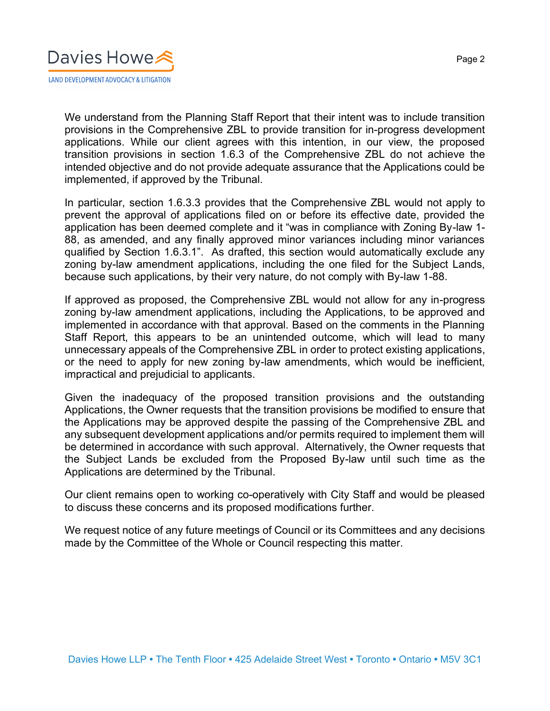

We understand from the Planning Staff Report that their intent was to include transition provisions in the Comprehensive ZBL to provide transition for in-progress development applications. While our client agrees with this intention, in our view, the proposed transition provisions in section 1.6.3 of the Comprehensive ZBL do not achieve the intended objective and do not provide adequate assurance that the Applications could be implemented, if approved by the Tribunal.

In particular, section 1.6.3.3 provides that the Comprehensive ZBL would not apply to prevent the approval of applications filed on or before its effective date, provided the application has been deemed complete and it "was in compliance with Zoning By-law 1- 88, as amended, and any finally approved minor variances including minor variances qualified by Section 1.6.3.1". As drafted, this section would automatically exclude any zoning by-law amendment applications, including the one filed for the Subject Lands, because such applications, by their very nature, do not comply with By-law 1-88.

If approved as proposed, the Comprehensive ZBL would not allow for any in-progress zoning by-law amendment applications, including the Applications, to be approved and implemented in accordance with that approval. Based on the comments in the Planning Staff Report, this appears to be an unintended outcome, which will lead to many unnecessary appeals of the Comprehensive ZBL in order to protect existing applications, or the need to apply for new zoning by-law amendments, which would be inefficient, impractical and prejudicial to applicants.

Given the inadequacy of the proposed transition provisions and the outstanding Applications, the Owner requests that the transition provisions be modified to ensure that the Applications may be approved despite the passing of the Comprehensive ZBL and any subsequent development applications and/or permits required to implement them will be determined in accordance with such approval. Alternatively, the Owner requests that the Subject Lands be excluded from the Proposed By-law until such time as the Applications are determined by the Tribunal.

Our client remains open to working co-operatively with City Staff and would be pleased to discuss these concerns and its proposed modifications further.

We request notice of any future meetings of Council or its Committees and any decisions made by the Committee of the Whole or Council respecting this matter.